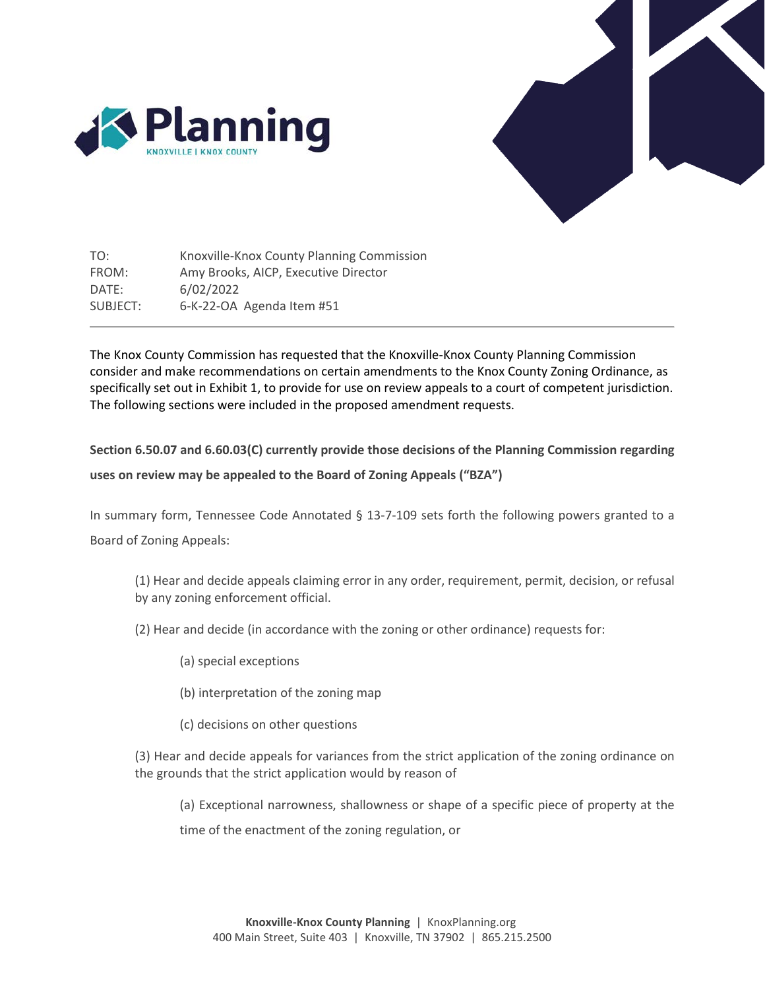



TO: FROM: DATE: SUBJECT: Knoxville-Knox County Planning Commission Amy Brooks, AICP, Executive Director 6/02/2022 6-K-22-OA Agenda Item #51

The Knox County Commission has requested that the Knoxville-Knox County Planning Commission consider and make recommendations on certain amendments to the Knox County Zoning Ordinance, as specifically set out in Exhibit 1, to provide for use on review appeals to a court of competent jurisdiction. The following sections were included in the proposed amendment requests.

**Section 6.50.07 and 6.60.03(C) currently provide those decisions of the Planning Commission regarding uses on review may be appealed to the Board of Zoning Appeals ("BZA")**

In summary form, Tennessee Code Annotated § 13-7-109 sets forth the following powers granted to a Board of Zoning Appeals:

(1) Hear and decide appeals claiming error in any order, requirement, permit, decision, or refusal by any zoning enforcement official.

- (2) Hear and decide (in accordance with the zoning or other ordinance) requests for:
	- (a) special exceptions
	- (b) interpretation of the zoning map
	- (c) decisions on other questions

(3) Hear and decide appeals for variances from the strict application of the zoning ordinance on the grounds that the strict application would by reason of

(a) Exceptional narrowness, shallowness or shape of a specific piece of property at the time of the enactment of the zoning regulation, or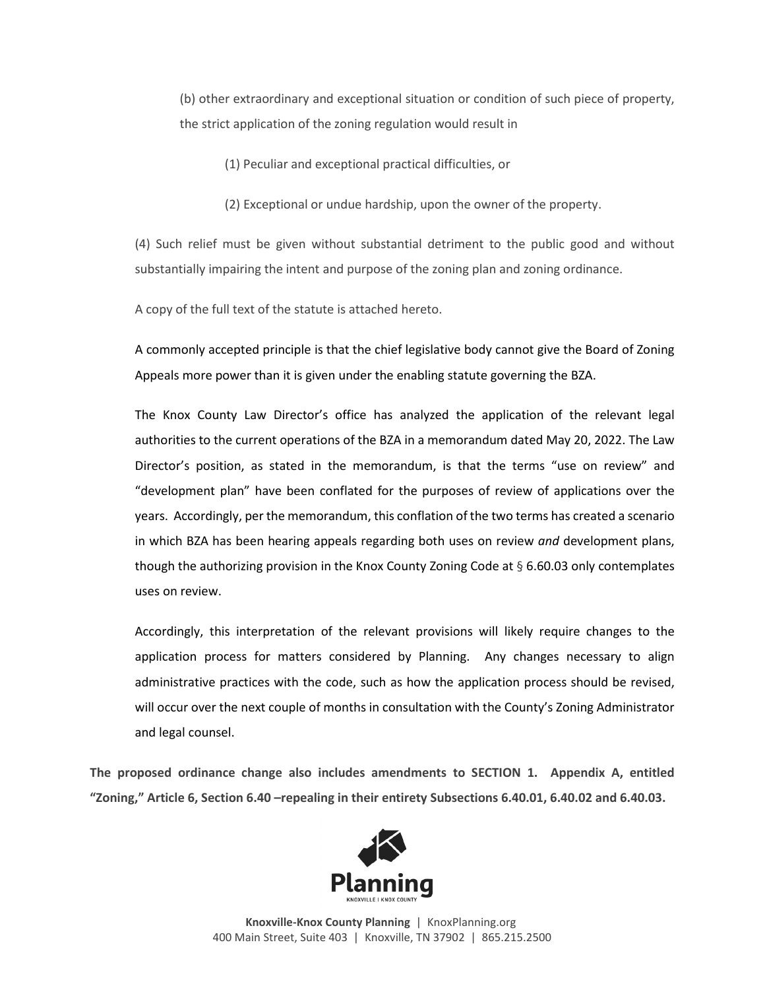(b) other extraordinary and exceptional situation or condition of such piece of property, the strict application of the zoning regulation would result in

(1) Peculiar and exceptional practical difficulties, or

(2) Exceptional or undue hardship, upon the owner of the property.

(4) Such relief must be given without substantial detriment to the public good and without substantially impairing the intent and purpose of the zoning plan and zoning ordinance.

A copy of the full text of the statute is attached hereto.

A commonly accepted principle is that the chief legislative body cannot give the Board of Zoning Appeals more power than it is given under the enabling statute governing the BZA.

The Knox County Law Director's office has analyzed the application of the relevant legal authorities to the current operations of the BZA in a memorandum dated May 20, 2022. The Law Director's position, as stated in the memorandum, is that the terms "use on review" and "development plan" have been conflated for the purposes of review of applications over the years. Accordingly, per the memorandum, this conflation of the two terms has created a scenario in which BZA has been hearing appeals regarding both uses on review *and* development plans, though the authorizing provision in the Knox County Zoning Code at  $\S 6.60.03$  only contemplates uses on review.

Accordingly, this interpretation of the relevant provisions will likely require changes to the application process for matters considered by Planning. Any changes necessary to align administrative practices with the code, such as how the application process should be revised, will occur over the next couple of months in consultation with the County's Zoning Administrator and legal counsel.

**The proposed ordinance change also includes amendments to SECTION 1. Appendix A, entitled "Zoning," Article 6, Section 6.40 –repealing in their entirety Subsections 6.40.01, 6.40.02 and 6.40.03.** 



**Knoxville-Knox County Planning** | KnoxPlanning.org 400 Main Street, Suite 403 | Knoxville, TN 37902 | 865.215.2500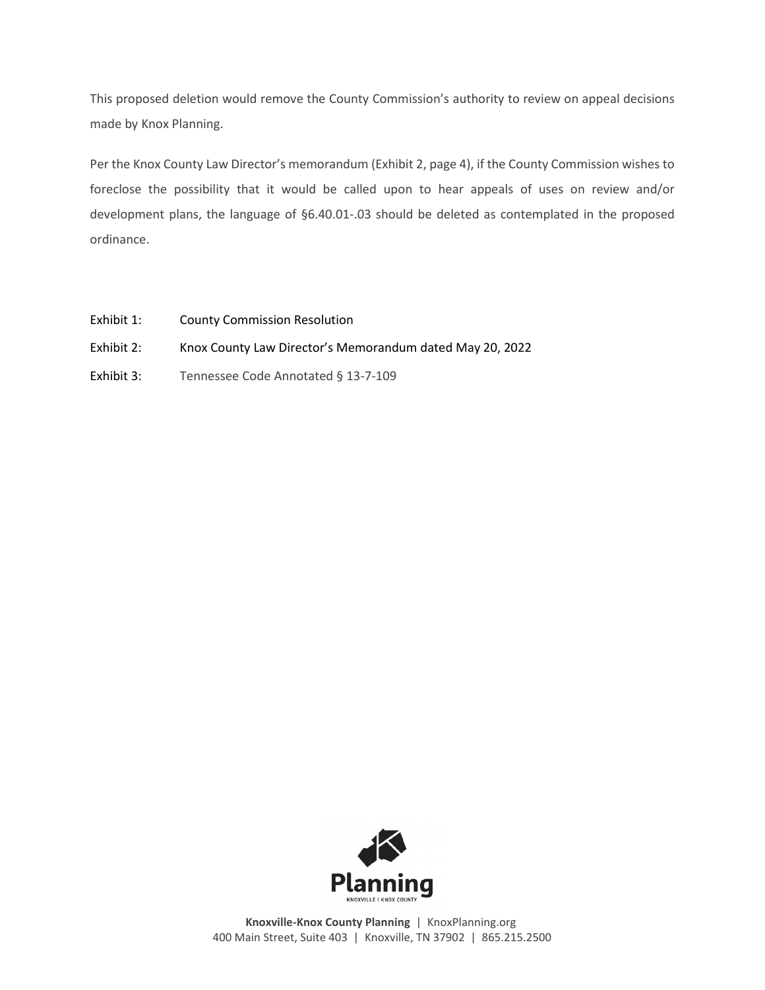This proposed deletion would remove the County Commission's authority to review on appeal decisions made by Knox Planning.

Per the Knox County Law Director's memorandum (Exhibit 2, page 4), if the County Commission wishes to foreclose the possibility that it would be called upon to hear appeals of uses on review and/or development plans, the language of §6.40.01-.03 should be deleted as contemplated in the proposed ordinance.

- Exhibit 1: County Commission Resolution
- Exhibit 2: Knox County Law Director's Memorandum dated May 20, 2022
- Exhibit 3: Tennessee Code Annotated § 13-7-109



**Knoxville-Knox County Planning** | KnoxPlanning.org 400 Main Street, Suite 403 | Knoxville, TN 37902 | 865.215.2500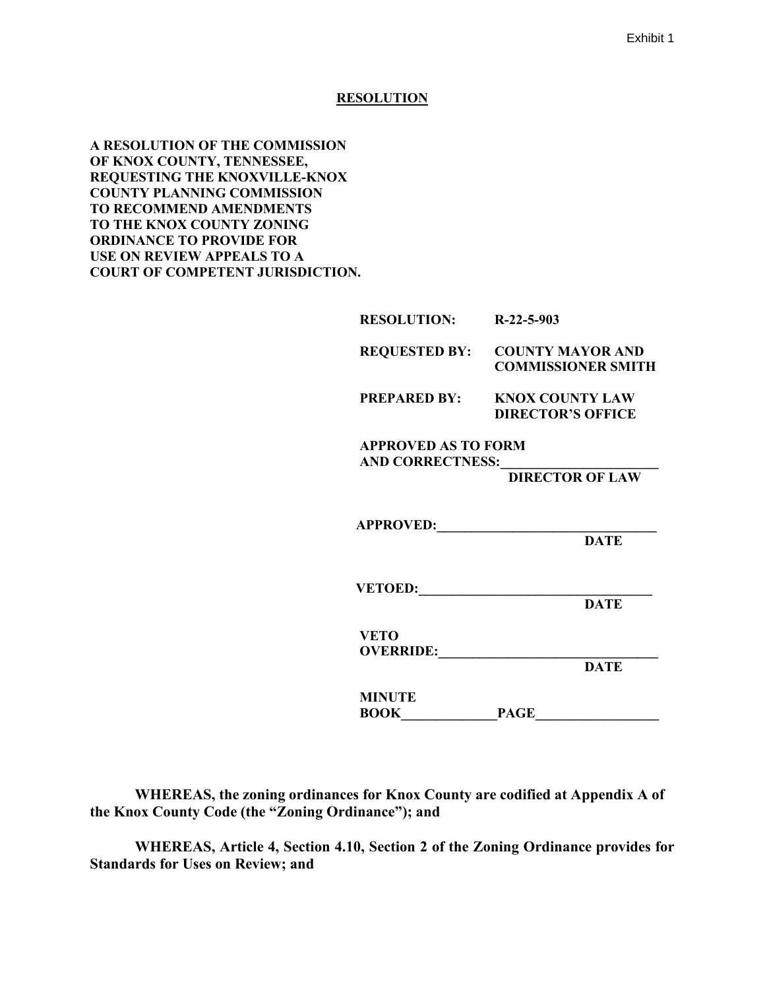#### **RESOLUTION**

**A RESOLUTION OF THE COMMISSION OF KNOX COUNTY, TENNESSEE, REQUESTING THE KNOXVILLE-KNOX COUNTY PLANNING COMMISSION TO RECOMMEND AMENDMENTS TO THE KNOX COUNTY ZONING ORDINANCE TO PROVIDE FOR USE ON REVIEW APPEALS TO A COURT OF COMPETENT JURISDICTION.**

| <b>RESOLUTION:</b>                                    | $R-22-5-903$                                                       |
|-------------------------------------------------------|--------------------------------------------------------------------|
|                                                       | <b>REQUESTED BY: COUNTY MAYOR AND</b><br><b>COMMISSIONER SMITH</b> |
| <b>PREPARED BY:</b>                                   | <b>KNOX COUNTY LAW</b><br><b>DIRECTOR'S OFFICE</b>                 |
| <b>APPROVED AS TO FORM</b><br><b>AND CORRECTNESS:</b> | <b>DIRECTOR OF LAW</b>                                             |
| APPROVED: 2000                                        | <b>DATE</b>                                                        |
| VETOED:                                               | <b>DATE</b>                                                        |
| <b>VETO</b><br>OVERRIDE:                              | <b>DATE</b>                                                        |
| <b>MINUTE</b><br><b>BOOK</b>                          | <b>PAGE</b>                                                        |

**WHEREAS, the zoning ordinances for Knox County are codified at Appendix A of the Knox County Code (the "Zoning Ordinance"); and** 

**WHEREAS, Article 4, Section 4.10, Section 2 of the Zoning Ordinance provides for Standards for Uses on Review; and**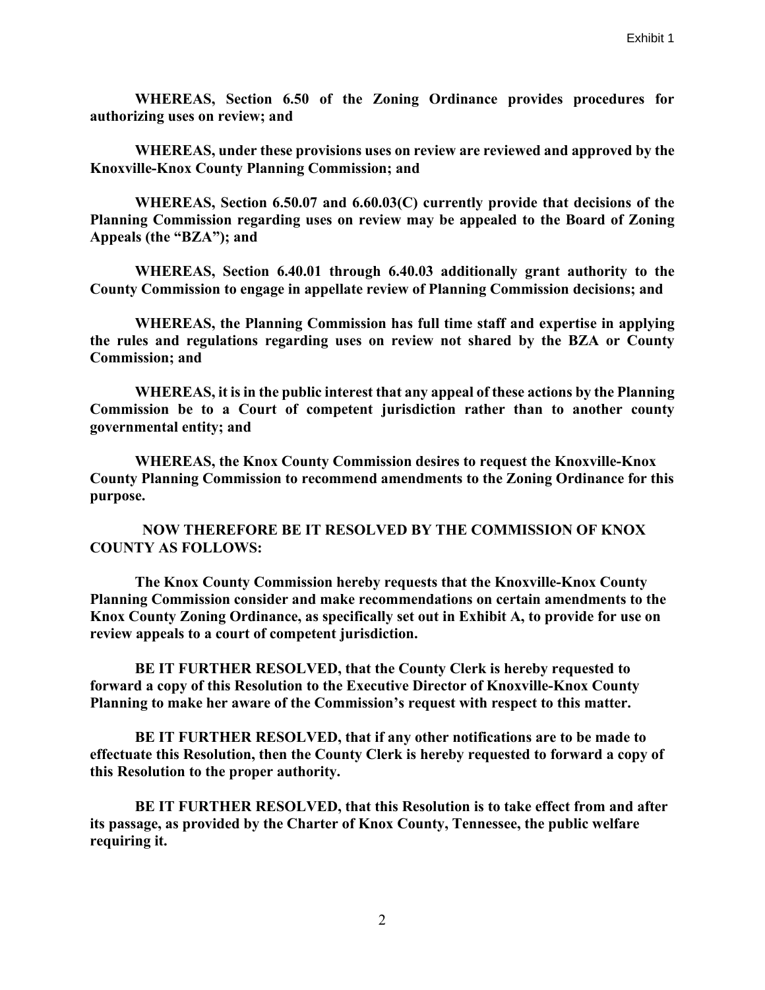**WHEREAS, Section 6.50 of the Zoning Ordinance provides procedures for authorizing uses on review; and**

**WHEREAS, under these provisions uses on review are reviewed and approved by the Knoxville-Knox County Planning Commission; and** 

**WHEREAS, Section 6.50.07 and 6.60.03(C) currently provide that decisions of the Planning Commission regarding uses on review may be appealed to the Board of Zoning Appeals (the "BZA"); and** 

**WHEREAS, Section 6.40.01 through 6.40.03 additionally grant authority to the County Commission to engage in appellate review of Planning Commission decisions; and** 

**WHEREAS, the Planning Commission has full time staff and expertise in applying the rules and regulations regarding uses on review not shared by the BZA or County Commission; and** 

**WHEREAS, it is in the public interest that any appeal of these actions by the Planning Commission be to a Court of competent jurisdiction rather than to another county governmental entity; and** 

**WHEREAS, the Knox County Commission desires to request the Knoxville-Knox County Planning Commission to recommend amendments to the Zoning Ordinance for this purpose.** 

 **NOW THEREFORE BE IT RESOLVED BY THE COMMISSION OF KNOX COUNTY AS FOLLOWS:**

**The Knox County Commission hereby requests that the Knoxville-Knox County Planning Commission consider and make recommendations on certain amendments to the Knox County Zoning Ordinance, as specifically set out in Exhibit A, to provide for use on review appeals to a court of competent jurisdiction.** 

**BE IT FURTHER RESOLVED, that the County Clerk is hereby requested to forward a copy of this Resolution to the Executive Director of Knoxville-Knox County Planning to make her aware of the Commission's request with respect to this matter.** 

**BE IT FURTHER RESOLVED, that if any other notifications are to be made to effectuate this Resolution, then the County Clerk is hereby requested to forward a copy of this Resolution to the proper authority.**

**BE IT FURTHER RESOLVED, that this Resolution is to take effect from and after its passage, as provided by the Charter of Knox County, Tennessee, the public welfare requiring it.**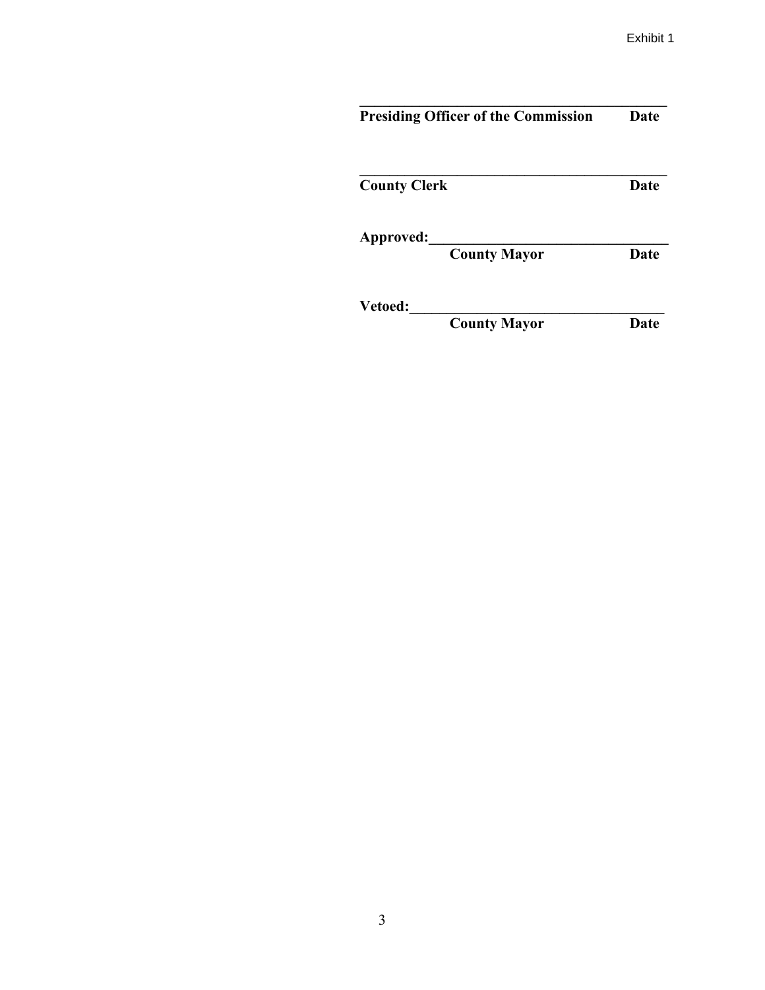| <b>Presiding Officer of the Commission</b> | Date        |
|--------------------------------------------|-------------|
| <b>County Clerk</b>                        | Date        |
| Approved:<br><b>County Mayor</b>           | <b>Date</b> |
| Vetoed:<br><b>County Mayor</b>             | Date        |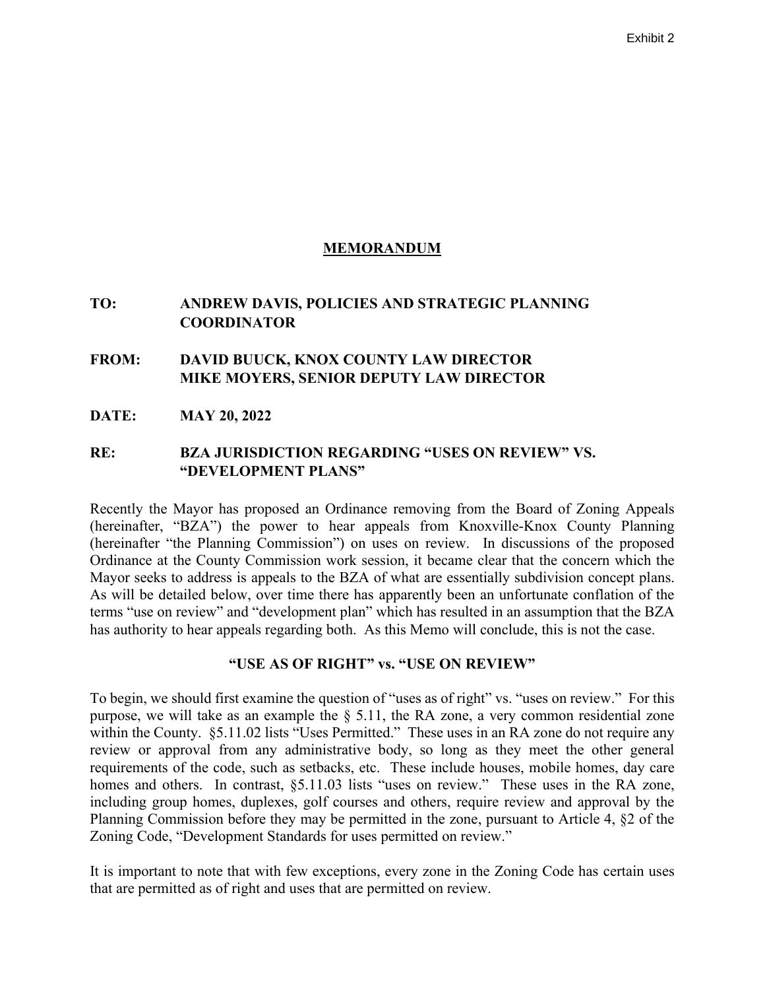### **MEMORANDUM**

# **TO: ANDREW DAVIS, POLICIES AND STRATEGIC PLANNING COORDINATOR**

# **FROM: DAVID BUUCK, KNOX COUNTY LAW DIRECTOR MIKE MOYERS, SENIOR DEPUTY LAW DIRECTOR**

**DATE: MAY 20, 2022**

### **RE: BZA JURISDICTION REGARDING "USES ON REVIEW" VS. "DEVELOPMENT PLANS"**

Recently the Mayor has proposed an Ordinance removing from the Board of Zoning Appeals (hereinafter, "BZA") the power to hear appeals from Knoxville-Knox County Planning (hereinafter "the Planning Commission") on uses on review. In discussions of the proposed Ordinance at the County Commission work session, it became clear that the concern which the Mayor seeks to address is appeals to the BZA of what are essentially subdivision concept plans. As will be detailed below, over time there has apparently been an unfortunate conflation of the terms "use on review" and "development plan" which has resulted in an assumption that the BZA has authority to hear appeals regarding both. As this Memo will conclude, this is not the case.

### **"USE AS OF RIGHT" vs. "USE ON REVIEW"**

To begin, we should first examine the question of "uses as of right" vs. "uses on review." For this purpose, we will take as an example the § 5.11, the RA zone, a very common residential zone within the County. §5.11.02 lists "Uses Permitted." These uses in an RA zone do not require any review or approval from any administrative body, so long as they meet the other general requirements of the code, such as setbacks, etc. These include houses, mobile homes, day care homes and others. In contrast, §5.11.03 lists "uses on review." These uses in the RA zone, including group homes, duplexes, golf courses and others, require review and approval by the Planning Commission before they may be permitted in the zone, pursuant to Article 4, §2 of the Zoning Code, "Development Standards for uses permitted on review."

It is important to note that with few exceptions, every zone in the Zoning Code has certain uses that are permitted as of right and uses that are permitted on review.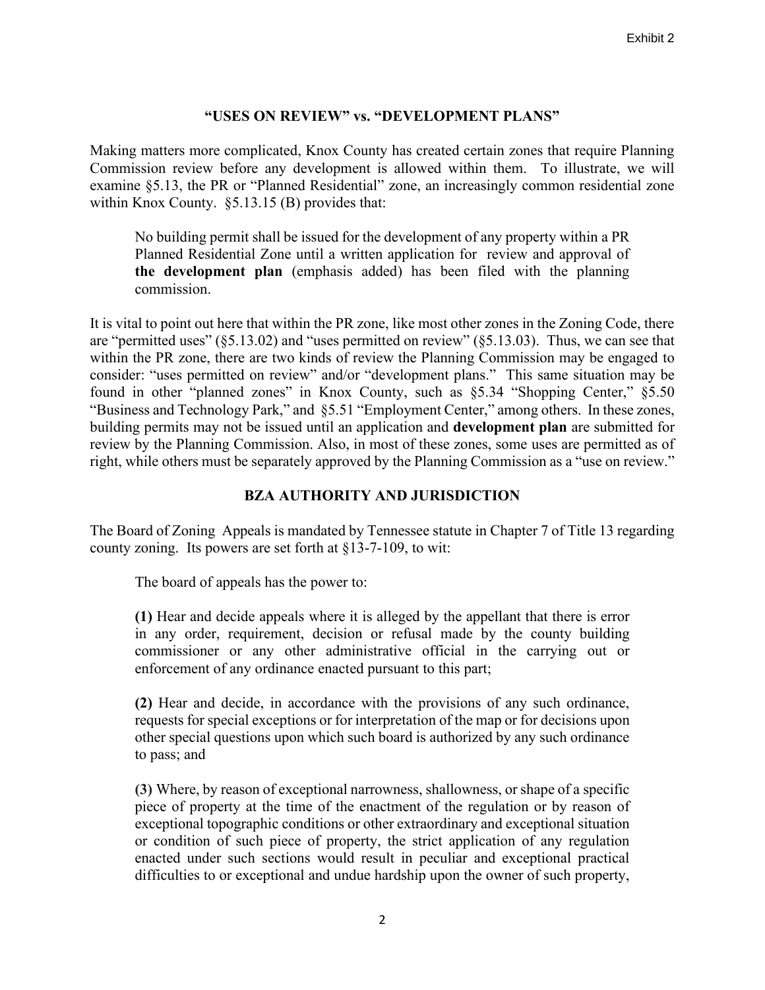### **"USES ON REVIEW" vs. "DEVELOPMENT PLANS"**

Making matters more complicated, Knox County has created certain zones that require Planning Commission review before any development is allowed within them. To illustrate, we will examine §5.13, the PR or "Planned Residential" zone, an increasingly common residential zone within Knox County. §5.13.15 (B) provides that:

No building permit shall be issued for the development of any property within a PR Planned Residential Zone until a written application for review and approval of **the development plan** (emphasis added) has been filed with the planning commission.

It is vital to point out here that within the PR zone, like most other zones in the Zoning Code, there are "permitted uses" (§5.13.02) and "uses permitted on review" (§5.13.03). Thus, we can see that within the PR zone, there are two kinds of review the Planning Commission may be engaged to consider: "uses permitted on review" and/or "development plans." This same situation may be found in other "planned zones" in Knox County, such as §5.34 "Shopping Center," §5.50 "Business and Technology Park," and §5.51 "Employment Center," among others. In these zones, building permits may not be issued until an application and **development plan** are submitted for review by the Planning Commission. Also, in most of these zones, some uses are permitted as of right, while others must be separately approved by the Planning Commission as a "use on review."

# **BZA AUTHORITY AND JURISDICTION**

The Board of Zoning Appeals is mandated by Tennessee statute in Chapter 7 of Title 13 regarding county zoning. Its powers are set forth at §13-7-109, to wit:

The board of appeals has the power to:

**(1)** Hear and decide appeals where it is alleged by the appellant that there is error in any order, requirement, decision or refusal made by the county building commissioner or any other administrative official in the carrying out or enforcement of any ordinance enacted pursuant to this part;

**(2)** Hear and decide, in accordance with the provisions of any such ordinance, requests for special exceptions or for interpretation of the map or for decisions upon other special questions upon which such board is authorized by any such ordinance to pass; and

**(3)** Where, by reason of exceptional narrowness, shallowness, or shape of a specific piece of property at the time of the enactment of the regulation or by reason of exceptional topographic conditions or other extraordinary and exceptional situation or condition of such piece of property, the strict application of any regulation enacted under such sections would result in peculiar and exceptional practical difficulties to or exceptional and undue hardship upon the owner of such property,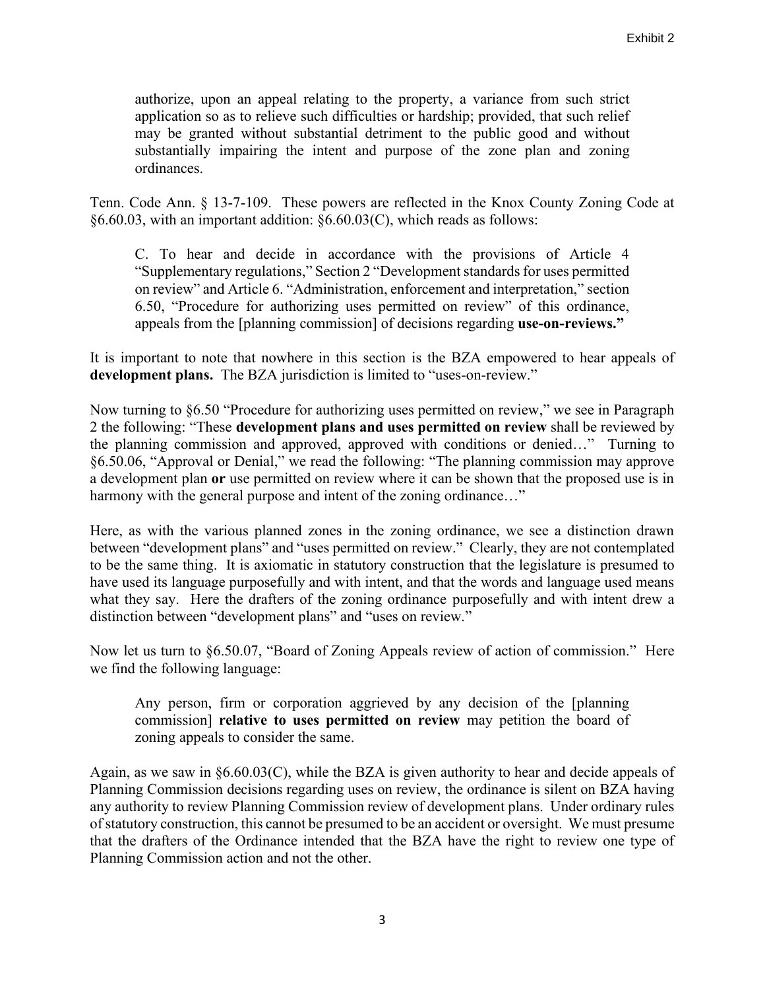authorize, upon an appeal relating to the property, a variance from such strict application so as to relieve such difficulties or hardship; provided, that such relief may be granted without substantial detriment to the public good and without substantially impairing the intent and purpose of the zone plan and zoning ordinances.

Tenn. Code Ann. § 13-7-109. These powers are reflected in the Knox County Zoning Code at §6.60.03, with an important addition: §6.60.03(C), which reads as follows:

C. To hear and decide in accordance with the provisions of Article 4 "Supplementary regulations," Section 2 "Development standards for uses permitted on review" and Article 6. "Administration, enforcement and interpretation," section 6.50, "Procedure for authorizing uses permitted on review" of this ordinance, appeals from the [planning commission] of decisions regarding **use-on-reviews."**

It is important to note that nowhere in this section is the BZA empowered to hear appeals of **development plans.** The BZA jurisdiction is limited to "uses-on-review."

Now turning to §6.50 "Procedure for authorizing uses permitted on review," we see in Paragraph 2 the following: "These **development plans and uses permitted on review** shall be reviewed by the planning commission and approved, approved with conditions or denied…" Turning to §6.50.06, "Approval or Denial," we read the following: "The planning commission may approve a development plan **or** use permitted on review where it can be shown that the proposed use is in harmony with the general purpose and intent of the zoning ordinance..."

Here, as with the various planned zones in the zoning ordinance, we see a distinction drawn between "development plans" and "uses permitted on review." Clearly, they are not contemplated to be the same thing. It is axiomatic in statutory construction that the legislature is presumed to have used its language purposefully and with intent, and that the words and language used means what they say. Here the drafters of the zoning ordinance purposefully and with intent drew a distinction between "development plans" and "uses on review."

Now let us turn to §6.50.07, "Board of Zoning Appeals review of action of commission." Here we find the following language:

Any person, firm or corporation aggrieved by any decision of the [planning commission] **relative to uses permitted on review** may petition the board of zoning appeals to consider the same.

Again, as we saw in §6.60.03(C), while the BZA is given authority to hear and decide appeals of Planning Commission decisions regarding uses on review, the ordinance is silent on BZA having any authority to review Planning Commission review of development plans. Under ordinary rules of statutory construction, this cannot be presumed to be an accident or oversight. We must presume that the drafters of the Ordinance intended that the BZA have the right to review one type of Planning Commission action and not the other.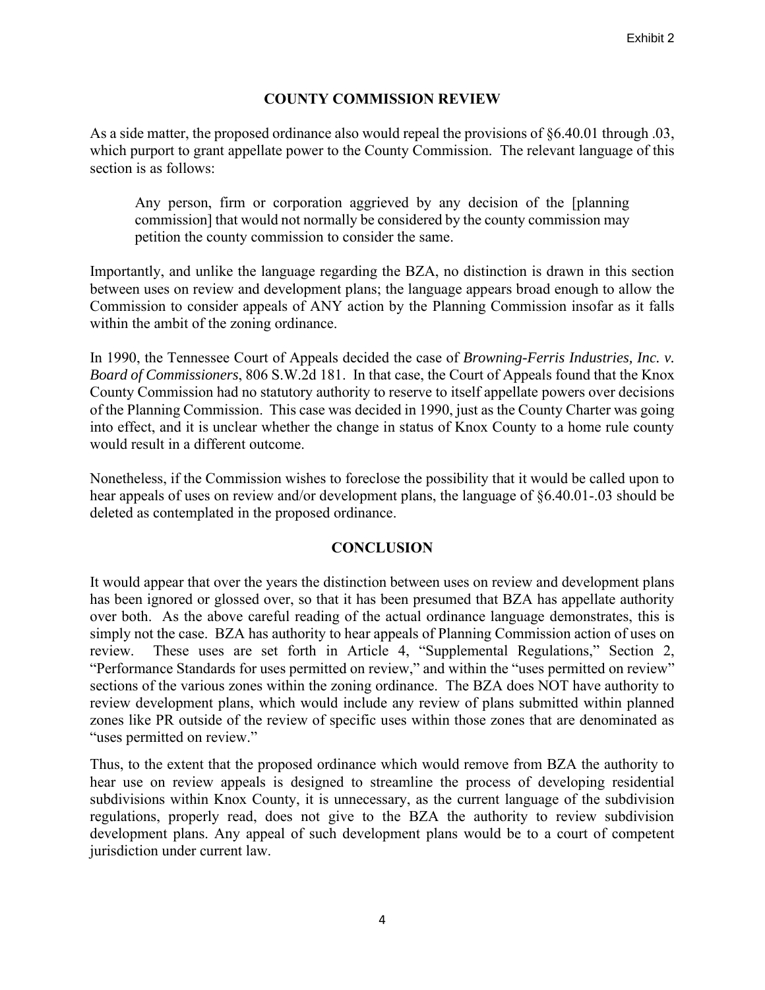# **COUNTY COMMISSION REVIEW**

As a side matter, the proposed ordinance also would repeal the provisions of §6.40.01 through .03, which purport to grant appellate power to the County Commission. The relevant language of this section is as follows:

Any person, firm or corporation aggrieved by any decision of the [planning commission] that would not normally be considered by the county commission may petition the county commission to consider the same.

Importantly, and unlike the language regarding the BZA, no distinction is drawn in this section between uses on review and development plans; the language appears broad enough to allow the Commission to consider appeals of ANY action by the Planning Commission insofar as it falls within the ambit of the zoning ordinance.

In 1990, the Tennessee Court of Appeals decided the case of *Browning-Ferris Industries, Inc. v. Board of Commissioners*, 806 S.W.2d 181. In that case, the Court of Appeals found that the Knox County Commission had no statutory authority to reserve to itself appellate powers over decisions of the Planning Commission. This case was decided in 1990, just as the County Charter was going into effect, and it is unclear whether the change in status of Knox County to a home rule county would result in a different outcome.

Nonetheless, if the Commission wishes to foreclose the possibility that it would be called upon to hear appeals of uses on review and/or development plans, the language of §6.40.01-.03 should be deleted as contemplated in the proposed ordinance.

### **CONCLUSION**

It would appear that over the years the distinction between uses on review and development plans has been ignored or glossed over, so that it has been presumed that BZA has appellate authority over both. As the above careful reading of the actual ordinance language demonstrates, this is simply not the case. BZA has authority to hear appeals of Planning Commission action of uses on review. These uses are set forth in Article 4, "Supplemental Regulations," Section 2, "Performance Standards for uses permitted on review," and within the "uses permitted on review" sections of the various zones within the zoning ordinance. The BZA does NOT have authority to review development plans, which would include any review of plans submitted within planned zones like PR outside of the review of specific uses within those zones that are denominated as "uses permitted on review."

Thus, to the extent that the proposed ordinance which would remove from BZA the authority to hear use on review appeals is designed to streamline the process of developing residential subdivisions within Knox County, it is unnecessary, as the current language of the subdivision regulations, properly read, does not give to the BZA the authority to review subdivision development plans. Any appeal of such development plans would be to a court of competent jurisdiction under current law.